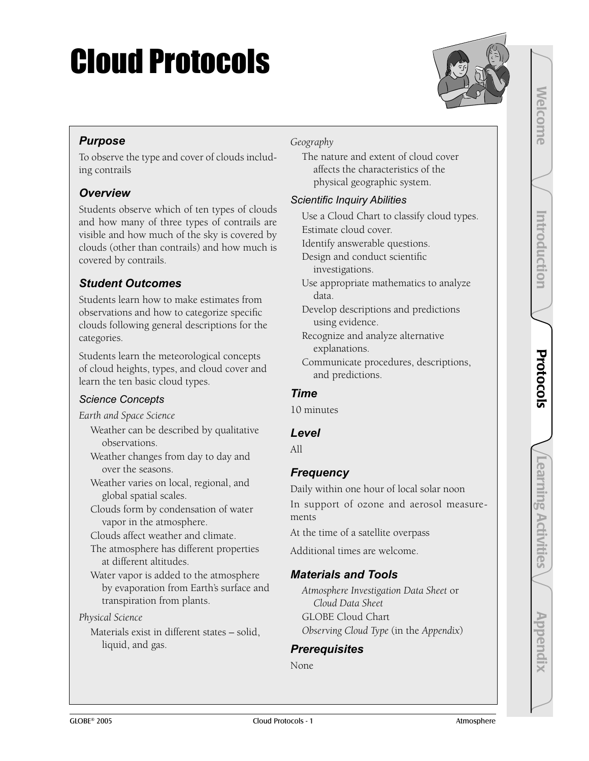# Cloud Protocols



Welcome

**Melcome** 

Introduction

mtroduction

Protocols

Protocols

#### *Purpose*

To observe the type and cover of clouds including contrails

#### *Overview*

Students observe which of ten types of clouds and how many of three types of contrails are visible and how much of the sky is covered by clouds (other than contrails) and how much is covered by contrails.

#### *Student Outcomes*

Students learn how to make estimates from observations and how to categorize specific clouds following general descriptions for the categories.

Students learn the meteorological concepts of cloud heights, types, and cloud cover and learn the ten basic cloud types.

#### *Science Concepts*

*Earth and Space Science*

- Weather can be described by qualitative observations.
- Weather changes from day to day and over the seasons.
- Weather varies on local, regional, and global spatial scales.

Clouds form by condensation of water vapor in the atmosphere.

Clouds affect weather and climate.

The atmosphere has different properties at different altitudes.

Water vapor is added to the atmosphere by evaporation from Earth's surface and transpiration from plants.

#### *Physical Science*

Materials exist in different states – solid, liquid, and gas.

#### *Geography*

The nature and extent of cloud cover affects the characteristics of the physical geographic system.

#### *Scientific Inquiry Abilities*

Use a Cloud Chart to classify cloud types. Estimate cloud cover. Identify answerable questions.

Design and conduct scientific investigations.

Use appropriate mathematics to analyze data.

Develop descriptions and predictions using evidence.

Recognize and analyze alternative explanations.

Communicate procedures, descriptions, and predictions.

#### *Time*

10 minutes

#### *Level*

All

#### *Frequency*

Daily within one hour of local solar noon

In support of ozone and aerosol measurements

At the time of a satellite overpass

Additional times are welcome.

#### *Materials and Tools*

*Atmosphere Investigation Data Sheet* or *Cloud Data Sheet* GLOBE Cloud Chart *Observing Cloud Type* (in the *Appendix*)

#### *Prerequisites*

None

Learning Activities

Learning Activities

Appendix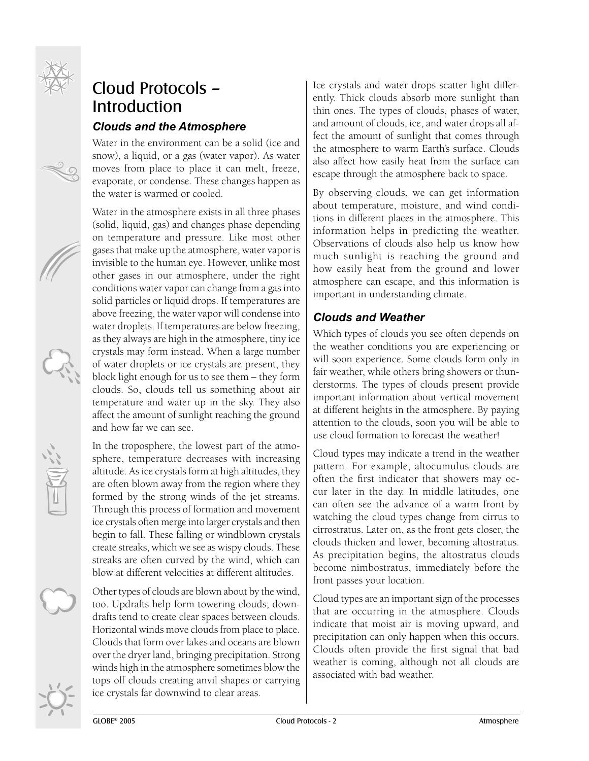

### Cloud Protocols – Introduction *Clouds and the Atmosphere*

Water in the environment can be a solid (ice and snow), a liquid, or a gas (water vapor). As water moves from place to place it can melt, freeze, evaporate, or condense. These changes happen as the water is warmed or cooled.

Water in the atmosphere exists in all three phases (solid, liquid, gas) and changes phase depending on temperature and pressure. Like most other gases that make up the atmosphere, water vapor is invisible to the human eye. However, unlike most other gases in our atmosphere, under the right conditions water vapor can change from a gas into solid particles or liquid drops. If temperatures are above freezing, the water vapor will condense into water droplets. If temperatures are below freezing, as they always are high in the atmosphere, tiny ice crystals may form instead. When a large number of water droplets or ice crystals are present, they block light enough for us to see them – they form clouds. So, clouds tell us something about air temperature and water up in the sky. They also affect the amount of sunlight reaching the ground and how far we can see.

In the troposphere, the lowest part of the atmosphere, temperature decreases with increasing altitude. As ice crystals form at high altitudes, they are often blown away from the region where they formed by the strong winds of the jet streams. Through this process of formation and movement ice crystals often merge into larger crystals and then begin to fall. These falling or windblown crystals create streaks, which we see as wispy clouds. These streaks are often curved by the wind, which can blow at different velocities at different altitudes.

Other types of clouds are blown about by the wind, too. Updrafts help form towering clouds; downdrafts tend to create clear spaces between clouds. Horizontal winds move clouds from place to place. Clouds that form over lakes and oceans are blown over the dryer land, bringing precipitation. Strong winds high in the atmosphere sometimes blow the tops off clouds creating anvil shapes or carrying ice crystals far downwind to clear areas.

Ice crystals and water drops scatter light differently. Thick clouds absorb more sunlight than thin ones. The types of clouds, phases of water, and amount of clouds, ice, and water drops all affect the amount of sunlight that comes through the atmosphere to warm Earth's surface. Clouds also affect how easily heat from the surface can escape through the atmosphere back to space.

By observing clouds, we can get information about temperature, moisture, and wind conditions in different places in the atmosphere. This information helps in predicting the weather. Observations of clouds also help us know how much sunlight is reaching the ground and how easily heat from the ground and lower atmosphere can escape, and this information is important in understanding climate.

#### *Clouds and Weather*

Which types of clouds you see often depends on the weather conditions you are experiencing or will soon experience. Some clouds form only in fair weather, while others bring showers or thunderstorms. The types of clouds present provide important information about vertical movement at different heights in the atmosphere. By paying attention to the clouds, soon you will be able to use cloud formation to forecast the weather!

Cloud types may indicate a trend in the weather pattern. For example, altocumulus clouds are often the first indicator that showers may occur later in the day. In middle latitudes, one can often see the advance of a warm front by watching the cloud types change from cirrus to cirrostratus. Later on, as the front gets closer, the clouds thicken and lower, becoming altostratus. As precipitation begins, the altostratus clouds become nimbostratus, immediately before the front passes your location.

Cloud types are an important sign of the processes that are occurring in the atmosphere. Clouds indicate that moist air is moving upward, and precipitation can only happen when this occurs. Clouds often provide the first signal that bad weather is coming, although not all clouds are associated with bad weather.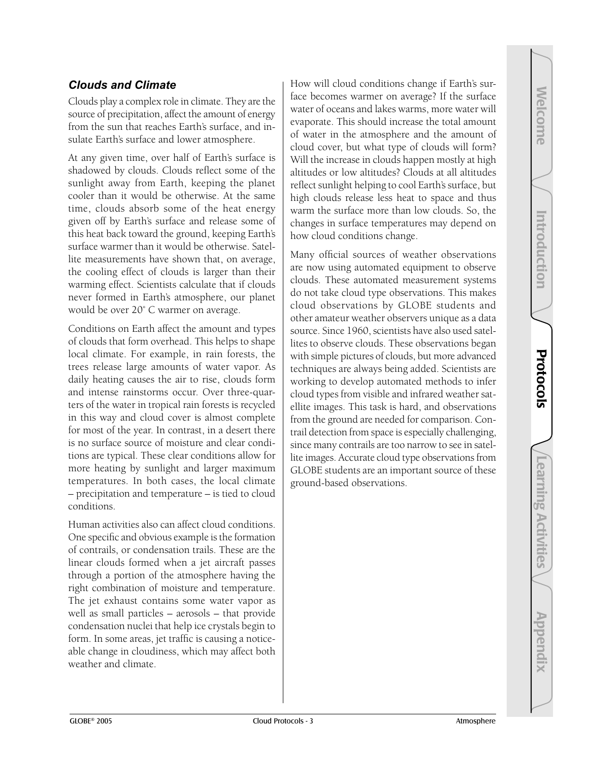Appendix

#### *Clouds and Climate*

Clouds play a complex role in climate. They are the source of precipitation, affect the amount of energy from the sun that reaches Earth's surface, and insulate Earth's surface and lower atmosphere.

At any given time, over half of Earth's surface is shadowed by clouds. Clouds reflect some of the sunlight away from Earth, keeping the planet cooler than it would be otherwise. At the same time, clouds absorb some of the heat energy given off by Earth's surface and release some of this heat back toward the ground, keeping Earth's surface warmer than it would be otherwise. Satellite measurements have shown that, on average, the cooling effect of clouds is larger than their warming effect. Scientists calculate that if clouds never formed in Earth's atmosphere, our planet would be over 20˚ C warmer on average.

Conditions on Earth affect the amount and types of clouds that form overhead. This helps to shape local climate. For example, in rain forests, the trees release large amounts of water vapor. As daily heating causes the air to rise, clouds form and intense rainstorms occur. Over three-quarters of the water in tropical rain forests is recycled in this way and cloud cover is almost complete for most of the year. In contrast, in a desert there is no surface source of moisture and clear conditions are typical. These clear conditions allow for more heating by sunlight and larger maximum temperatures. In both cases, the local climate – precipitation and temperature – is tied to cloud conditions.

Human activities also can affect cloud conditions. One specific and obvious example is the formation of contrails, or condensation trails. These are the linear clouds formed when a jet aircraft passes through a portion of the atmosphere having the right combination of moisture and temperature. The jet exhaust contains some water vapor as well as small particles – aerosols – that provide condensation nuclei that help ice crystals begin to form. In some areas, jet traffic is causing a noticeable change in cloudiness, which may affect both weather and climate.

How will cloud conditions change if Earth's surface becomes warmer on average? If the surface water of oceans and lakes warms, more water will evaporate. This should increase the total amount of water in the atmosphere and the amount of cloud cover, but what type of clouds will form? Will the increase in clouds happen mostly at high altitudes or low altitudes? Clouds at all altitudes reflect sunlight helping to cool Earth's surface, but high clouds release less heat to space and thus warm the surface more than low clouds. So, the changes in surface temperatures may depend on how cloud conditions change.

Many official sources of weather observations are now using automated equipment to observe clouds. These automated measurement systems do not take cloud type observations. This makes cloud observations by GLOBE students and other amateur weather observers unique as a data source. Since 1960, scientists have also used satellites to observe clouds. These observations began with simple pictures of clouds, but more advanced techniques are always being added. Scientists are working to develop automated methods to infer cloud types from visible and infrared weather satellite images. This task is hard, and observations from the ground are needed for comparison. Contrail detection from space is especially challenging, since many contrails are too narrow to see in satellite images. Accurate cloud type observations from GLOBE students are an important source of these ground-based observations.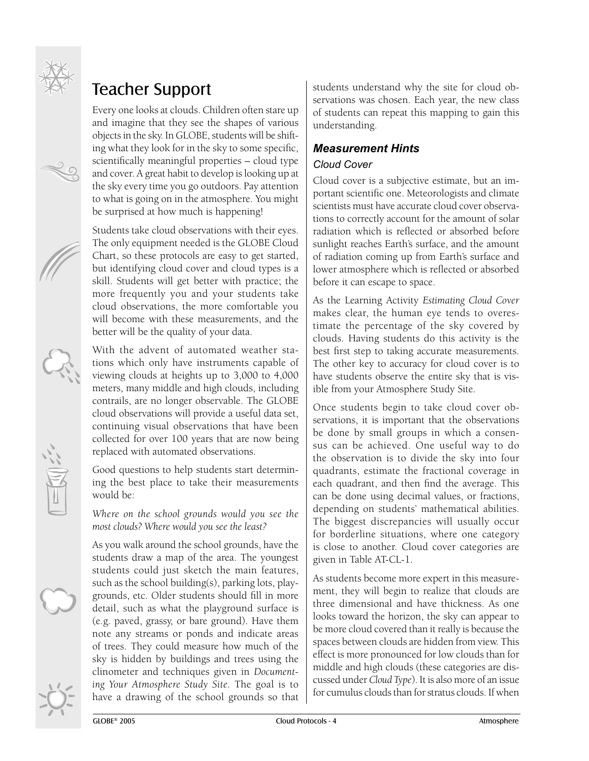

## Teacher Support

Every one looks at clouds. Children often stare up and imagine that they see the shapes of various objects in the sky. In GLOBE, students will be shifting what they look for in the sky to some specific, scientifically meaningful properties – cloud type and cover. A great habit to develop is looking up at the sky every time you go outdoors. Pay attention to what is going on in the atmosphere. You might be surprised at how much is happening!

Students take cloud observations with their eyes. The only equipment needed is the GLOBE Cloud Chart, so these protocols are easy to get started, but identifying cloud cover and cloud types is a skill. Students will get better with practice; the more frequently you and your students take cloud observations, the more comfortable you will become with these measurements, and the better will be the quality of your data.

With the advent of automated weather stations which only have instruments capable of viewing clouds at heights up to 3,000 to 4,000 meters, many middle and high clouds, including contrails, are no longer observable. The GLOBE cloud observations will provide a useful data set, continuing visual observations that have been collected for over 100 years that are now being replaced with automated observations.

Good questions to help students start determining the best place to take their measurements would be:

*Where on the school grounds would you see the most clouds? Where would you see the least?* 

As you walk around the school grounds, have the students draw a map of the area. The youngest students could just sketch the main features, such as the school building(s), parking lots, playgrounds, etc. Older students should fill in more detail, such as what the playground surface is (e.g. paved, grassy, or bare ground). Have them note any streams or ponds and indicate areas of trees. They could measure how much of the sky is hidden by buildings and trees using the clinometer and techniques given in *Documenting Your Atmosphere Study Site.* The goal is to have a drawing of the school grounds so that

students understand why the site for cloud observations was chosen. Each year, the new class of students can repeat this mapping to gain this understanding.

#### *Measurement Hints*

#### *Cloud Cover*

Cloud cover is a subjective estimate, but an important scientific one. Meteorologists and climate scientists must have accurate cloud cover observations to correctly account for the amount of solar radiation which is reflected or absorbed before sunlight reaches Earth's surface, and the amount of radiation coming up from Earth's surface and lower atmosphere which is reflected or absorbed before it can escape to space.

As the Learning Activity *Estimating Cloud Cover*  makes clear, the human eye tends to overestimate the percentage of the sky covered by clouds. Having students do this activity is the best first step to taking accurate measurements. The other key to accuracy for cloud cover is to have students observe the entire sky that is visible from your Atmosphere Study Site.

Once students begin to take cloud cover observations, it is important that the observations be done by small groups in which a consensus can be achieved. One useful way to do the observation is to divide the sky into four quadrants, estimate the fractional coverage in each quadrant, and then find the average. This can be done using decimal values, or fractions, depending on students' mathematical abilities. The biggest discrepancies will usually occur for borderline situations, where one category is close to another. Cloud cover categories are given in Table AT-CL-1.

As students become more expert in this measurement, they will begin to realize that clouds are three dimensional and have thickness. As one looks toward the horizon, the sky can appear to be more cloud covered than it really is because the spaces between clouds are hidden from view. This effect is more pronounced for low clouds than for middle and high clouds (these categories are discussed under *Cloud Type*). It is also more of an issue for cumulus clouds than for stratus clouds. If when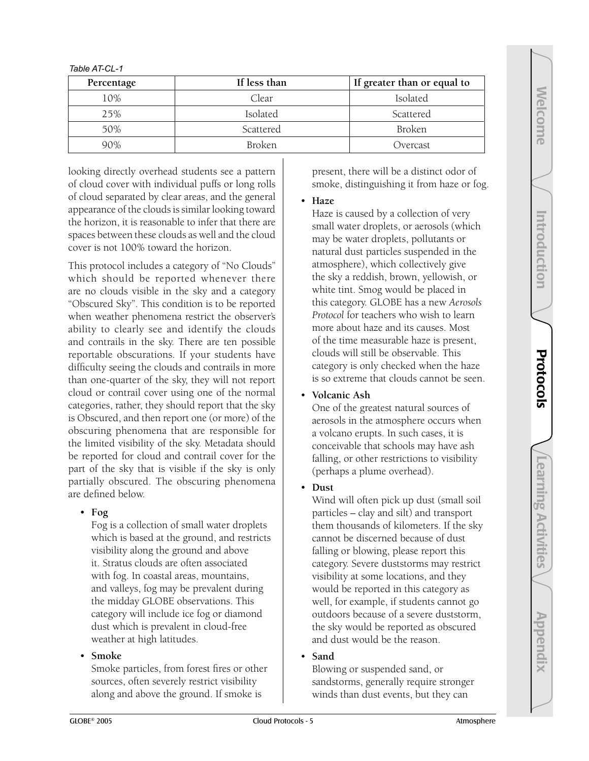| Percentage | If less than | If greater than or equal to |
|------------|--------------|-----------------------------|
| 10%        | Clear        | Isolated                    |
| 25%        | Isolated     | Scattered                   |
| 50%        | Scattered    | Broken                      |
| 90%        | Broken       | Overcast                    |

*Table AT-CL-1*

looking directly overhead students see a pattern of cloud cover with individual puffs or long rolls of cloud separated by clear areas, and the general appearance of the clouds is similar looking toward the horizon, it is reasonable to infer that there are spaces between these clouds as well and the cloud cover is not 100% toward the horizon.

This protocol includes a category of "No Clouds" which should be reported whenever there are no clouds visible in the sky and a category "Obscured Sky". This condition is to be reported when weather phenomena restrict the observer's ability to clearly see and identify the clouds and contrails in the sky. There are ten possible reportable obscurations. If your students have difficulty seeing the clouds and contrails in more than one-quarter of the sky, they will not report cloud or contrail cover using one of the normal categories, rather, they should report that the sky is Obscured, and then report one (or more) of the obscuring phenomena that are responsible for the limited visibility of the sky. Metadata should be reported for cloud and contrail cover for the part of the sky that is visible if the sky is only partially obscured. The obscuring phenomena are defined below.

#### • **Fog**

Fog is a collection of small water droplets which is based at the ground, and restricts visibility along the ground and above it. Stratus clouds are often associated with fog. In coastal areas, mountains, and valleys, fog may be prevalent during the midday GLOBE observations. This category will include ice fog or diamond dust which is prevalent in cloud-free weather at high latitudes.

#### • **Smoke**

Smoke particles, from forest fires or other sources, often severely restrict visibility along and above the ground. If smoke is

present, there will be a distinct odor of smoke, distinguishing it from haze or fog.

• **Haze**

Haze is caused by a collection of very small water droplets, or aerosols (which may be water droplets, pollutants or natural dust particles suspended in the atmosphere), which collectively give the sky a reddish, brown, yellowish, or white tint. Smog would be placed in this category. GLOBE has a new *Aerosols Protocol* for teachers who wish to learn more about haze and its causes. Most of the time measurable haze is present, clouds will still be observable. This category is only checked when the haze is so extreme that clouds cannot be seen.

• **Volcanic Ash**

One of the greatest natural sources of aerosols in the atmosphere occurs when a volcano erupts. In such cases, it is conceivable that schools may have ash falling, or other restrictions to visibility (perhaps a plume overhead).

#### • **Dust**

Wind will often pick up dust (small soil particles – clay and silt) and transport them thousands of kilometers. If the sky cannot be discerned because of dust falling or blowing, please report this category. Severe duststorms may restrict visibility at some locations, and they would be reported in this category as well, for example, if students cannot go outdoors because of a severe duststorm, the sky would be reported as obscured and dust would be the reason.

• **Sand**

Blowing or suspended sand, or sandstorms, generally require stronger winds than dust events, but they can

Learning Activities

**Learning Activities** 

Welcome

**Melcome** 

Introduction

Introduction

Protocols

Protocols

Appendix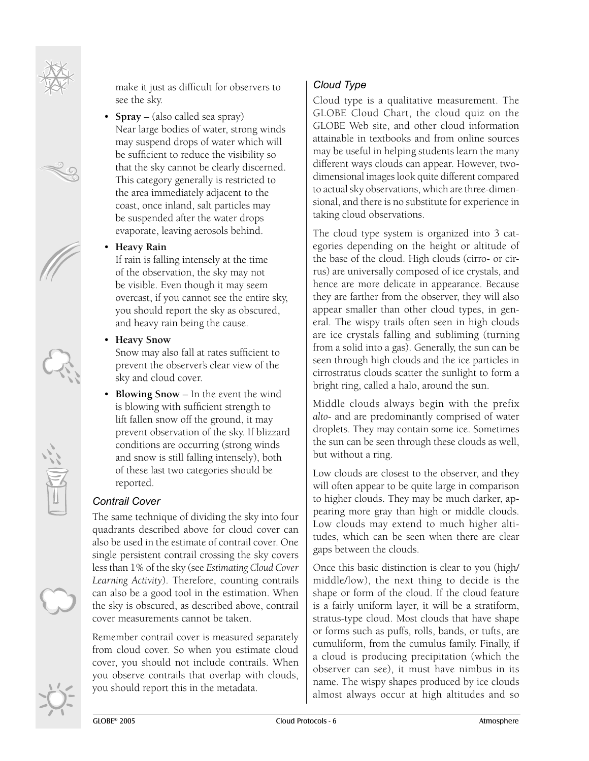make it just as difficult for observers to see the sky.

• **Spray** – (also called sea spray) Near large bodies of water, strong winds may suspend drops of water which will be sufficient to reduce the visibility so that the sky cannot be clearly discerned. This category generally is restricted to the area immediately adjacent to the coast, once inland, salt particles may be suspended after the water drops evaporate, leaving aerosols behind.

#### • **Heavy Rain**

If rain is falling intensely at the time of the observation, the sky may not be visible. Even though it may seem overcast, if you cannot see the entire sky, you should report the sky as obscured, and heavy rain being the cause.

#### • **Heavy Snow**

Snow may also fall at rates sufficient to prevent the observer's clear view of the sky and cloud cover.

• **Blowing Snow** – In the event the wind is blowing with sufficient strength to lift fallen snow off the ground, it may prevent observation of the sky. If blizzard conditions are occurring (strong winds and snow is still falling intensely), both of these last two categories should be reported.

#### *Contrail Cover*

The same technique of dividing the sky into four quadrants described above for cloud cover can also be used in the estimate of contrail cover. One single persistent contrail crossing the sky covers less than 1% of the sky (see *Estimating Cloud Cover Learning Activity*). Therefore, counting contrails can also be a good tool in the estimation. When the sky is obscured, as described above, contrail cover measurements cannot be taken.

Remember contrail cover is measured separately from cloud cover. So when you estimate cloud cover, you should not include contrails. When you observe contrails that overlap with clouds, you should report this in the metadata.

#### *Cloud Type*

Cloud type is a qualitative measurement. The GLOBE Cloud Chart, the cloud quiz on the GLOBE Web site, and other cloud information attainable in textbooks and from online sources may be useful in helping students learn the many different ways clouds can appear. However, twodimensional images look quite different compared to actual sky observations, which are three-dimensional, and there is no substitute for experience in taking cloud observations.

The cloud type system is organized into 3 categories depending on the height or altitude of the base of the cloud. High clouds (cirro- or cirrus) are universally composed of ice crystals, and hence are more delicate in appearance. Because they are farther from the observer, they will also appear smaller than other cloud types, in general. The wispy trails often seen in high clouds are ice crystals falling and subliming (turning from a solid into a gas). Generally, the sun can be seen through high clouds and the ice particles in cirrostratus clouds scatter the sunlight to form a bright ring, called a halo, around the sun.

Middle clouds always begin with the prefix *alto*- and are predominantly comprised of water droplets. They may contain some ice. Sometimes the sun can be seen through these clouds as well, but without a ring.

Low clouds are closest to the observer, and they will often appear to be quite large in comparison to higher clouds. They may be much darker, appearing more gray than high or middle clouds. Low clouds may extend to much higher altitudes, which can be seen when there are clear gaps between the clouds.

Once this basic distinction is clear to you (high/ middle/low), the next thing to decide is the shape or form of the cloud. If the cloud feature is a fairly uniform layer, it will be a stratiform, stratus-type cloud. Most clouds that have shape or forms such as puffs, rolls, bands, or tufts, are cumuliform, from the cumulus family. Finally, if a cloud is producing precipitation (which the observer can see), it must have nimbus in its name. The wispy shapes produced by ice clouds almost always occur at high altitudes and so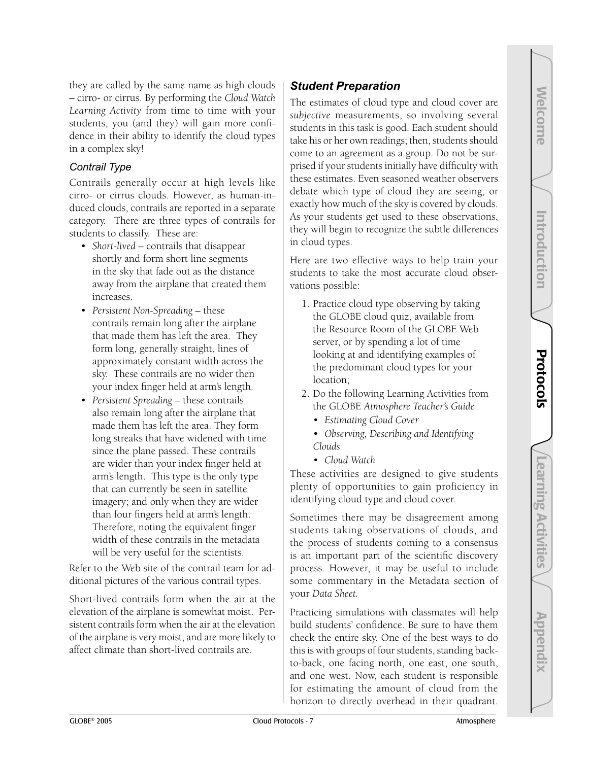they are called by the same name as high clouds – cirro- or cirrus. By performing the *Cloud Watch Learning Activity* from time to time with your students, you (and they) will gain more confidence in their ability to identify the cloud types in a complex sky!

#### *Contrail Type*

Contrails generally occur at high levels like cirro- or cirrus clouds. However, as human-induced clouds, contrails are reported in a separate category. There are three types of contrails for students to classify. These are:

- *Short-lived* contrails that disappear shortly and form short line segments in the sky that fade out as the distance away from the airplane that created them increases.
- *Persistent Non-Spreading* these contrails remain long after the airplane that made them has left the area. They form long, generally straight, lines of approximately constant width across the sky. These contrails are no wider then your index finger held at arm's length.
- *Persistent Spreading* these contrails also remain long after the airplane that made them has left the area. They form long streaks that have widened with time since the plane passed. These contrails are wider than your index finger held at arm's length. This type is the only type that can currently be seen in satellite imagery; and only when they are wider than four fingers held at arm's length. Therefore, noting the equivalent finger width of these contrails in the metadata will be very useful for the scientists.

Refer to the Web site of the contrail team for additional pictures of the various contrail types.

Short-lived contrails form when the air at the elevation of the airplane is somewhat moist. Persistent contrails form when the air at the elevation of the airplane is very moist, and are more likely to affect climate than short-lived contrails are.

#### *Student Preparation*

The estimates of cloud type and cloud cover are *subjective* measurements, so involving several students in this task is good. Each student should take his or her own readings; then, students should come to an agreement as a group. Do not be surprised if your students initially have difficulty with these estimates. Even seasoned weather observers debate which type of cloud they are seeing, or exactly how much of the sky is covered by clouds. As your students get used to these observations, they will begin to recognize the subtle differences in cloud types.

Here are two effective ways to help train your students to take the most accurate cloud observations possible:

- 1. Practice cloud type observing by taking the GLOBE cloud quiz, available from the Resource Room of the GLOBE Web server, or by spending a lot of time looking at and identifying examples of the predominant cloud types for your location;
- 2. Do the following Learning Activities from the GLOBE *Atmosphere Teacher's Guide*
	- *Estimating Cloud Cover*
	- *Observing, Describing and Identifying Clouds*
	- *Cloud Watch*

These activities are designed to give students plenty of opportunities to gain proficiency in identifying cloud type and cloud cover.

Sometimes there may be disagreement among students taking observations of clouds, and the process of students coming to a consensus is an important part of the scientific discovery process. However, it may be useful to include some commentary in the Metadata section of your *Data Sheet.*

Practicing simulations with classmates will help build students' confidence. Be sure to have them check the entire sky. One of the best ways to do this is with groups of four students, standing backto-back, one facing north, one east, one south, and one west. Now, each student is responsible for estimating the amount of cloud from the horizon to directly overhead in their quadrant.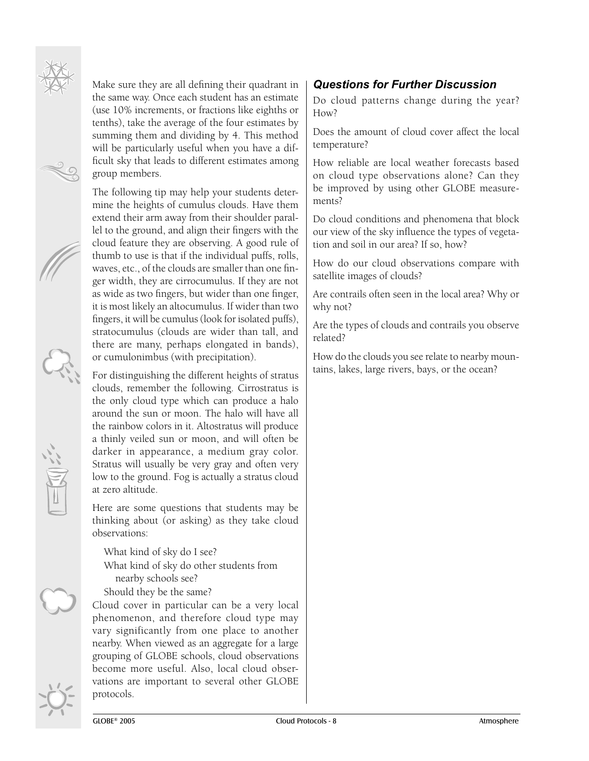

Make sure they are all defining their quadrant in the same way. Once each student has an estimate (use 10% increments, or fractions like eighths or tenths), take the average of the four estimates by summing them and dividing by 4. This method will be particularly useful when you have a difficult sky that leads to different estimates among group members.

The following tip may help your students determine the heights of cumulus clouds. Have them extend their arm away from their shoulder parallel to the ground, and align their fingers with the cloud feature they are observing. A good rule of thumb to use is that if the individual puffs, rolls, waves, etc., of the clouds are smaller than one finger width, they are cirrocumulus. If they are not as wide as two fingers, but wider than one finger, it is most likely an altocumulus. If wider than two fingers, it will be cumulus (look for isolated puffs), stratocumulus (clouds are wider than tall, and there are many, perhaps elongated in bands), or cumulonimbus (with precipitation).

For distinguishing the different heights of stratus clouds, remember the following. Cirrostratus is the only cloud type which can produce a halo around the sun or moon. The halo will have all the rainbow colors in it. Altostratus will produce a thinly veiled sun or moon, and will often be darker in appearance, a medium gray color. Stratus will usually be very gray and often very low to the ground. Fog is actually a stratus cloud at zero altitude.

Here are some questions that students may be thinking about (or asking) as they take cloud observations:

What kind of sky do I see? What kind of sky do other students from nearby schools see?

Should they be the same?

Cloud cover in particular can be a very local phenomenon, and therefore cloud type may vary significantly from one place to another nearby. When viewed as an aggregate for a large grouping of GLOBE schools, cloud observations become more useful. Also, local cloud observations are important to several other GLOBE protocols.

#### *Questions for Further Discussion*

Do cloud patterns change during the year? How?

Does the amount of cloud cover affect the local temperature?

How reliable are local weather forecasts based on cloud type observations alone? Can they be improved by using other GLOBE measurements?

Do cloud conditions and phenomena that block our view of the sky influence the types of vegetation and soil in our area? If so, how?

How do our cloud observations compare with satellite images of clouds?

Are contrails often seen in the local area? Why or why not?

Are the types of clouds and contrails you observe related?

How do the clouds you see relate to nearby mountains, lakes, large rivers, bays, or the ocean?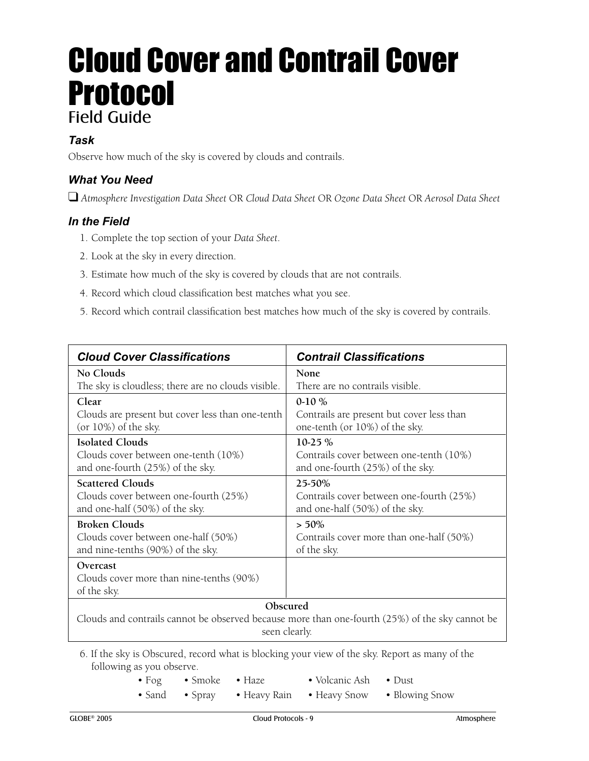## Cloud Cover and Contrail Cover Protocol Field Guide

#### *Task*

Observe how much of the sky is covered by clouds and contrails.

#### *What You Need*

❑ *Atmosphere Investigation Data Sheet* OR *Cloud Data Sheet* OR *Ozone Data Sheet* OR *Aerosol Data Sheet*

#### *In the Field*

- 1. Complete the top section of your *Data Sheet*.
- 2. Look at the sky in every direction.
- 3. Estimate how much of the sky is covered by clouds that are not contrails.
- 4. Record which cloud classification best matches what you see.
- 5. Record which contrail classification best matches how much of the sky is covered by contrails.

| <b>Cloud Cover Classifications</b>                                                                                           | <b>Contrail Classifications</b>           |  |  |
|------------------------------------------------------------------------------------------------------------------------------|-------------------------------------------|--|--|
| No Clouds                                                                                                                    | <b>None</b>                               |  |  |
| The sky is cloudless; there are no clouds visible.                                                                           | There are no contrails visible.           |  |  |
| Clear                                                                                                                        | $0-10\%$                                  |  |  |
| Clouds are present but cover less than one-tenth                                                                             | Contrails are present but cover less than |  |  |
| $(or 10\%)$ of the sky.                                                                                                      | one-tenth (or 10%) of the sky.            |  |  |
| <b>Isolated Clouds</b>                                                                                                       | 10-25 %                                   |  |  |
| Clouds cover between one-tenth (10%)                                                                                         | Contrails cover between one-tenth (10%)   |  |  |
| and one-fourth (25%) of the sky.                                                                                             | and one-fourth (25%) of the sky.          |  |  |
| <b>Scattered Clouds</b>                                                                                                      | 25-50%                                    |  |  |
| Clouds cover between one-fourth (25%)                                                                                        | Contrails cover between one-fourth (25%)  |  |  |
| and one-half (50%) of the sky.                                                                                               | and one-half (50%) of the sky.            |  |  |
| <b>Broken Clouds</b>                                                                                                         | $> 50\%$                                  |  |  |
| Clouds cover between one-half (50%)                                                                                          | Contrails cover more than one-half (50%)  |  |  |
| and nine-tenths (90%) of the sky.                                                                                            | of the sky.                               |  |  |
| Overcast<br>Clouds cover more than nine-tenths (90%)<br>of the sky.                                                          |                                           |  |  |
| Obscured<br>Clouds and contrails cannot be observed because more than one-fourth (25%) of the sky cannot be<br>seen clearly. |                                           |  |  |

6. If the sky is Obscured, record what is blocking your view of the sky. Report as many of the following as you observe.

- Fog Smoke Haze Volcanic Ash Dust
- Sand Spray Heavy Rain Heavy Snow Blowing Snow
- -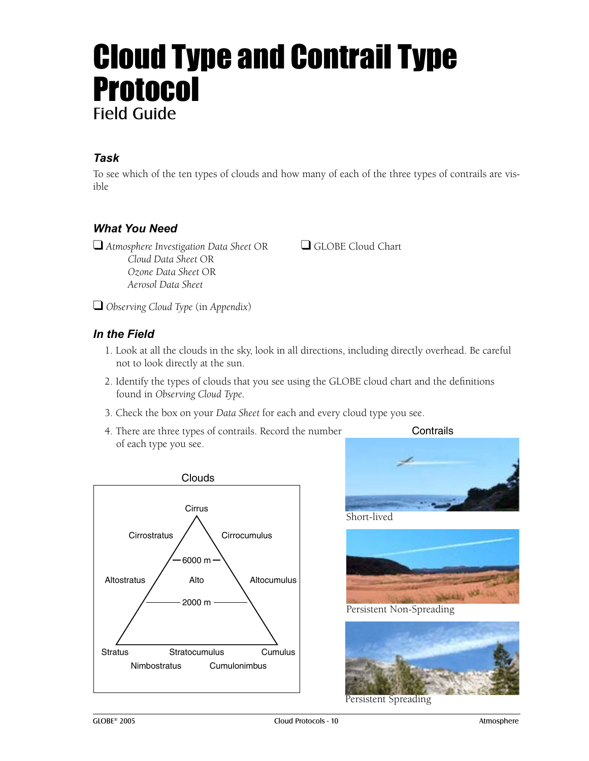## Cloud Type and Contrail Type **Protocol** Field Guide

#### *Task*

To see which of the ten types of clouds and how many of each of the three types of contrails are visible

#### *What You Need*

❑ *Atmosphere Investigation Data Sheet* OR ❑ GLOBE Cloud Chart  *Cloud Data Sheet* OR  *Ozone Data Sheet* OR  *Aerosol Data Sheet*

❑ *Observing Cloud Type* (in *Appendix*)

#### *In the Field*

- 1. Look at all the clouds in the sky, look in all directions, including directly overhead. Be careful not to look directly at the sun.
- 2. Identify the types of clouds that you see using the GLOBE cloud chart and the definitions found in *Observing Cloud Type.*
- 3. Check the box on your *Data Sheet* for each and every cloud type you see.
- 4. There are three types of contrails. Record the number of each type you see.



Short-lived



Persistent Non-Spreading



Persistent Spreading

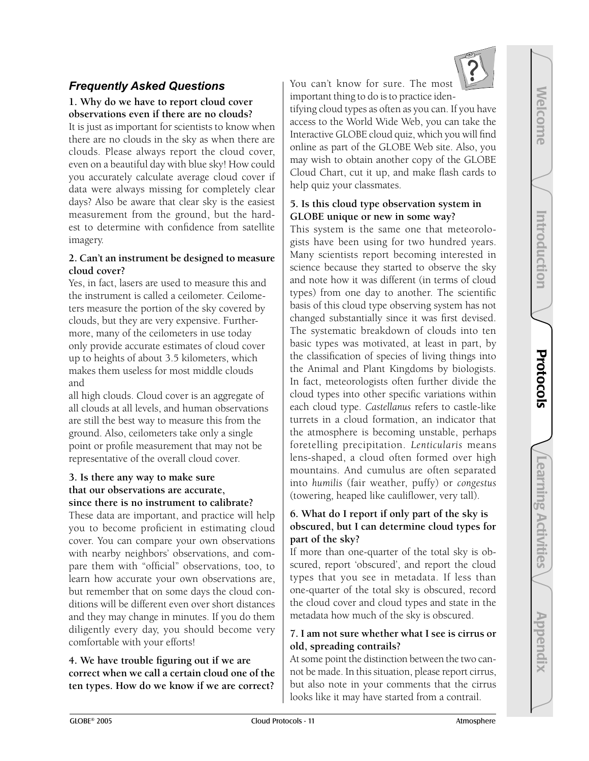Welcome

**Welcome** 

Introduction

Introduction

Protocols

Protocols

### *Frequently Asked Questions*

#### **1. Why do we have to report cloud cover observations even if there are no clouds?**

It is just as important for scientists to know when there are no clouds in the sky as when there are clouds. Please always report the cloud cover, even on a beautiful day with blue sky! How could you accurately calculate average cloud cover if data were always missing for completely clear days? Also be aware that clear sky is the easiest measurement from the ground, but the hardest to determine with confidence from satellite imagery.

#### **2. Can't an instrument be designed to measure cloud cover?**

Yes, in fact, lasers are used to measure this and the instrument is called a ceilometer. Ceilometers measure the portion of the sky covered by clouds, but they are very expensive. Furthermore, many of the ceilometers in use today only provide accurate estimates of cloud cover up to heights of about 3.5 kilometers, which makes them useless for most middle clouds and

all high clouds. Cloud cover is an aggregate of all clouds at all levels, and human observations are still the best way to measure this from the ground. Also, ceilometers take only a single point or profile measurement that may not be representative of the overall cloud cover.

#### **3. Is there any way to make sure that our observations are accurate, since there is no instrument to calibrate?**

These data are important, and practice will help you to become proficient in estimating cloud cover. You can compare your own observations with nearby neighbors' observations, and compare them with "official" observations, too, to learn how accurate your own observations are, but remember that on some days the cloud conditions will be different even over short distances and they may change in minutes. If you do them diligently every day, you should become very comfortable with your efforts!

**4. We have trouble figuring out if we are correct when we call a certain cloud one of the ten types. How do we know if we are correct?**

You can't know for sure. The most important thing to do is to practice iden-

tifying cloud types as often as you can. If you have access to the World Wide Web, you can take the Interactive GLOBE cloud quiz, which you will find online as part of the GLOBE Web site. Also, you may wish to obtain another copy of the GLOBE Cloud Chart, cut it up, and make flash cards to help quiz your classmates.

#### **5. Is this cloud type observation system in GLOBE unique or new in some way?**

This system is the same one that meteorologists have been using for two hundred years. Many scientists report becoming interested in science because they started to observe the sky and note how it was different (in terms of cloud types) from one day to another. The scientific basis of this cloud type observing system has not changed substantially since it was first devised. The systematic breakdown of clouds into ten basic types was motivated, at least in part, by the classification of species of living things into the Animal and Plant Kingdoms by biologists. In fact, meteorologists often further divide the cloud types into other specific variations within each cloud type. *Castellanus* refers to castle-like turrets in a cloud formation, an indicator that the atmosphere is becoming unstable, perhaps foretelling precipitation. *Lenticularis* means lens-shaped, a cloud often formed over high mountains. And cumulus are often separated into *humilis* (fair weather, puffy) or *congestus* (towering, heaped like cauliflower, very tall).

#### **6. What do I report if only part of the sky is obscured, but I can determine cloud types for part of the sky?**

If more than one-quarter of the total sky is obscured, report 'obscured', and report the cloud types that you see in metadata. If less than one-quarter of the total sky is obscured, record the cloud cover and cloud types and state in the metadata how much of the sky is obscured.

#### **7. I am not sure whether what I see is cirrus or old, spreading contrails?**

At some point the distinction between the two cannot be made. In this situation, please report cirrus, but also note in your comments that the cirrus looks like it may have started from a contrail.

Learning Activities

**Learning Activities** 

Appendix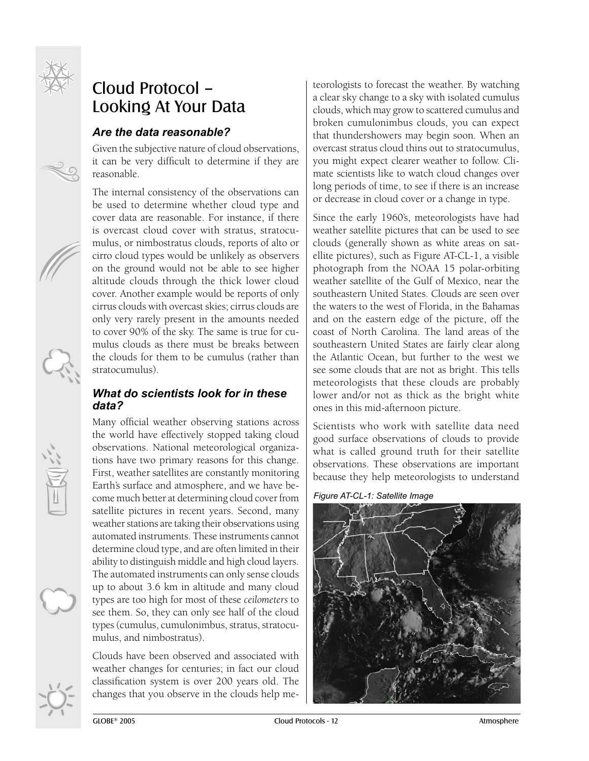

## Cloud Protocol – Looking At Your Data

#### *Are the data reasonable?*

Given the subjective nature of cloud observations, it can be very difficult to determine if they are reasonable.

The internal consistency of the observations can be used to determine whether cloud type and cover data are reasonable. For instance, if there is overcast cloud cover with stratus, stratocumulus, or nimbostratus clouds, reports of alto or cirro cloud types would be unlikely as observers on the ground would not be able to see higher altitude clouds through the thick lower cloud cover. Another example would be reports of only cirrus clouds with overcast skies; cirrus clouds are only very rarely present in the amounts needed to cover 90% of the sky. The same is true for cumulus clouds as there must be breaks between the clouds for them to be cumulus (rather than stratocumulus).

#### *What do scientists look for in these data?*

Many official weather observing stations across the world have effectively stopped taking cloud observations. National meteorological organizations have two primary reasons for this change. First, weather satellites are constantly monitoring Earth's surface and atmosphere, and we have become much better at determining cloud cover from satellite pictures in recent years. Second, many weather stations are taking their observations using automated instruments. These instruments cannot determine cloud type, and are often limited in their ability to distinguish middle and high cloud layers. The automated instruments can only sense clouds up to about 3.6 km in altitude and many cloud types are too high for most of these *ceilometers* to see them. So, they can only see half of the cloud types (cumulus, cumulonimbus, stratus, stratocumulus, and nimbostratus).

Clouds have been observed and associated with weather changes for centuries; in fact our cloud classification system is over 200 years old. The changes that you observe in the clouds help meteorologists to forecast the weather. By watching a clear sky change to a sky with isolated cumulus clouds, which may grow to scattered cumulus and broken cumulonimbus clouds, you can expect that thundershowers may begin soon. When an overcast stratus cloud thins out to stratocumulus, you might expect clearer weather to follow. Climate scientists like to watch cloud changes over long periods of time, to see if there is an increase or decrease in cloud cover or a change in type.

Since the early 1960's, meteorologists have had weather satellite pictures that can be used to see clouds (generally shown as white areas on satellite pictures), such as Figure AT-CL-1, a visible photograph from the NOAA 15 polar-orbiting weather satellite of the Gulf of Mexico, near the southeastern United States. Clouds are seen over the waters to the west of Florida, in the Bahamas and on the eastern edge of the picture, off the coast of North Carolina. The land areas of the southeastern United States are fairly clear along the Atlantic Ocean, but further to the west we see some clouds that are not as bright. This tells meteorologists that these clouds are probably lower and/or not as thick as the bright white ones in this mid-afternoon picture.

Scientists who work with satellite data need good surface observations of clouds to provide what is called ground truth for their satellite observations. These observations are important because they help meteorologists to understand



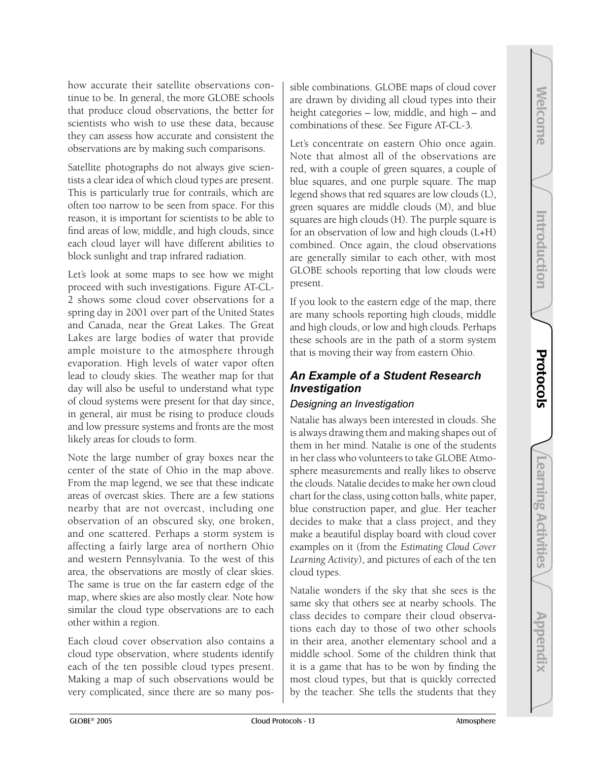how accurate their satellite observations continue to be. In general, the more GLOBE schools that produce cloud observations, the better for scientists who wish to use these data, because they can assess how accurate and consistent the observations are by making such comparisons.

Satellite photographs do not always give scientists a clear idea of which cloud types are present. This is particularly true for contrails, which are often too narrow to be seen from space. For this reason, it is important for scientists to be able to find areas of low, middle, and high clouds, since each cloud layer will have different abilities to block sunlight and trap infrared radiation.

Let's look at some maps to see how we might proceed with such investigations. Figure AT-CL-2 shows some cloud cover observations for a spring day in 2001 over part of the United States and Canada, near the Great Lakes. The Great Lakes are large bodies of water that provide ample moisture to the atmosphere through evaporation. High levels of water vapor often lead to cloudy skies. The weather map for that day will also be useful to understand what type of cloud systems were present for that day since, in general, air must be rising to produce clouds and low pressure systems and fronts are the most likely areas for clouds to form.

Note the large number of gray boxes near the center of the state of Ohio in the map above. From the map legend, we see that these indicate areas of overcast skies. There are a few stations nearby that are not overcast, including one observation of an obscured sky, one broken, and one scattered. Perhaps a storm system is affecting a fairly large area of northern Ohio and western Pennsylvania. To the west of this area, the observations are mostly of clear skies. The same is true on the far eastern edge of the map, where skies are also mostly clear. Note how similar the cloud type observations are to each other within a region.

Each cloud cover observation also contains a cloud type observation, where students identify each of the ten possible cloud types present. Making a map of such observations would be very complicated, since there are so many possible combinations. GLOBE maps of cloud cover are drawn by dividing all cloud types into their height categories – low, middle, and high – and combinations of these. See Figure AT-CL-3.

Let's concentrate on eastern Ohio once again. Note that almost all of the observations are red, with a couple of green squares, a couple of blue squares, and one purple square. The map legend shows that red squares are low clouds (L), green squares are middle clouds (M), and blue squares are high clouds (H). The purple square is for an observation of low and high clouds (L+H) combined. Once again, the cloud observations are generally similar to each other, with most GLOBE schools reporting that low clouds were present.

If you look to the eastern edge of the map, there are many schools reporting high clouds, middle and high clouds, or low and high clouds. Perhaps these schools are in the path of a storm system that is moving their way from eastern Ohio.

#### *An Example of a Student Research Investigation*

#### *Designing an Investigation*

Natalie has always been interested in clouds. She is always drawing them and making shapes out of them in her mind. Natalie is one of the students in her class who volunteers to take GLOBE Atmosphere measurements and really likes to observe the clouds. Natalie decides to make her own cloud chart for the class, using cotton balls, white paper, blue construction paper, and glue. Her teacher decides to make that a class project, and they make a beautiful display board with cloud cover examples on it (from the *Estimating Cloud Cover Learning Activity*), and pictures of each of the ten cloud types.

Natalie wonders if the sky that she sees is the same sky that others see at nearby schools. The class decides to compare their cloud observations each day to those of two other schools in their area, another elementary school and a middle school. Some of the children think that it is a game that has to be won by finding the most cloud types, but that is quickly corrected by the teacher. She tells the students that they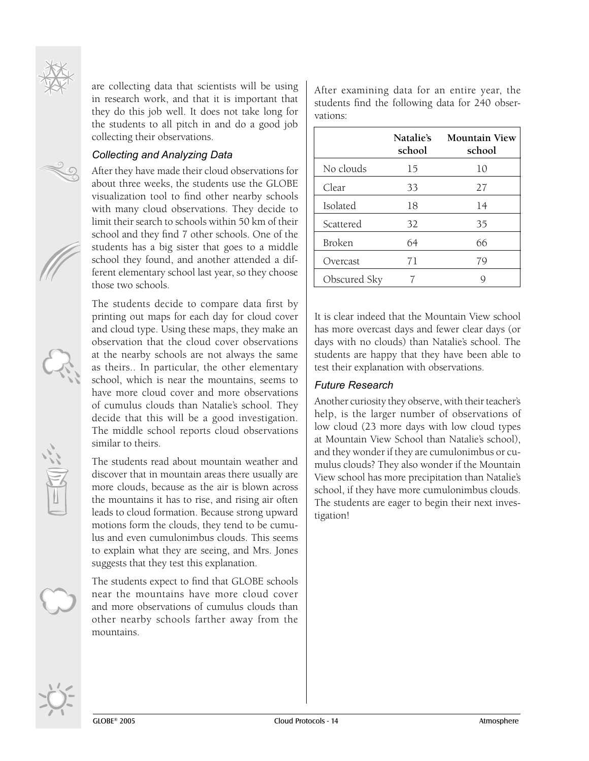

#### *Collecting and Analyzing Data*

After they have made their cloud observations for about three weeks, the students use the GLOBE visualization tool to find other nearby schools with many cloud observations. They decide to limit their search to schools within 50 km of their school and they find 7 other schools. One of the students has a big sister that goes to a middle school they found, and another attended a different elementary school last year, so they choose those two schools.

The students decide to compare data first by printing out maps for each day for cloud cover and cloud type. Using these maps, they make an observation that the cloud cover observations at the nearby schools are not always the same as theirs.. In particular, the other elementary school, which is near the mountains, seems to have more cloud cover and more observations of cumulus clouds than Natalie's school. They decide that this will be a good investigation. The middle school reports cloud observations similar to theirs.

The students read about mountain weather and discover that in mountain areas there usually are more clouds, because as the air is blown across the mountains it has to rise, and rising air often leads to cloud formation. Because strong upward motions form the clouds, they tend to be cumulus and even cumulonimbus clouds. This seems to explain what they are seeing, and Mrs. Jones suggests that they test this explanation.

The students expect to find that GLOBE schools near the mountains have more cloud cover and more observations of cumulus clouds than other nearby schools farther away from the mountains.

After examining data for an entire year, the students find the following data for 240 observations:

|                 | Natalie's<br>school | <b>Mountain View</b><br>school |
|-----------------|---------------------|--------------------------------|
| No clouds       | 15                  | 10                             |
| Clear           | 33                  | 27                             |
| <b>Isolated</b> | 18                  | 14                             |
| Scattered       | 32                  | 35                             |
| Broken          | 64                  | 66                             |
| Overcast        | 71                  | 79                             |
| Obscured Sky    |                     |                                |

It is clear indeed that the Mountain View school has more overcast days and fewer clear days (or days with no clouds) than Natalie's school. The students are happy that they have been able to test their explanation with observations.

#### *Future Research*

Another curiosity they observe, with their teacher's help, is the larger number of observations of low cloud (23 more days with low cloud types at Mountain View School than Natalie's school), and they wonder if they are cumulonimbus or cumulus clouds? They also wonder if the Mountain View school has more precipitation than Natalie's school, if they have more cumulonimbus clouds. The students are eager to begin their next investigation!